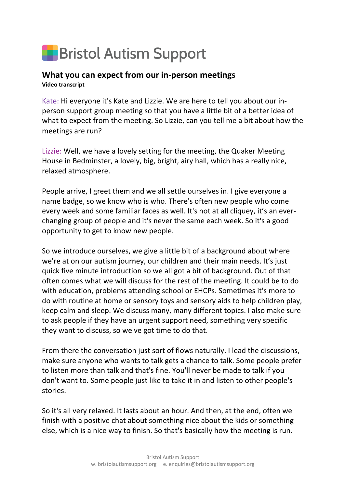## **F** Bristol Autism Support

## **What you can expect from our in-person meetings Video transcript**

Kate: Hi everyone it's Kate and Lizzie. We are here to tell you about our inperson support group meeting so that you have a little bit of a better idea of what to expect from the meeting. So Lizzie, can you tell me a bit about how the meetings are run?

Lizzie: Well, we have a lovely setting for the meeting, the Quaker Meeting House in Bedminster, a lovely, big, bright, airy hall, which has a really nice, relaxed atmosphere.

People arrive, I greet them and we all settle ourselves in. I give everyone a name badge, so we know who is who. There's often new people who come every week and some familiar faces as well. It's not at all cliquey, it's an everchanging group of people and it's never the same each week. So it's a good opportunity to get to know new people.

So we introduce ourselves, we give a little bit of a background about where we're at on our autism journey, our children and their main needs. It's just quick five minute introduction so we all got a bit of background. Out of that often comes what we will discuss for the rest of the meeting. It could be to do with education, problems attending school or EHCPs. Sometimes it's more to do with routine at home or sensory toys and sensory aids to help children play, keep calm and sleep. We discuss many, many different topics. I also make sure to ask people if they have an urgent support need, something very specific they want to discuss, so we've got time to do that.

From there the conversation just sort of flows naturally. I lead the discussions, make sure anyone who wants to talk gets a chance to talk. Some people prefer to listen more than talk and that's fine. You'll never be made to talk if you don't want to. Some people just like to take it in and listen to other people's stories.

So it's all very relaxed. It lasts about an hour. And then, at the end, often we finish with a positive chat about something nice about the kids or something else, which is a nice way to finish. So that's basically how the meeting is run.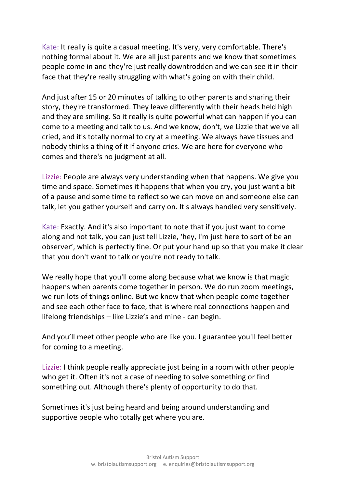Kate: It really is quite a casual meeting. It's very, very comfortable. There's nothing formal about it. We are all just parents and we know that sometimes people come in and they're just really downtrodden and we can see it in their face that they're really struggling with what's going on with their child.

And just after 15 or 20 minutes of talking to other parents and sharing their story, they're transformed. They leave differently with their heads held high and they are smiling. So it really is quite powerful what can happen if you can come to a meeting and talk to us. And we know, don't, we Lizzie that we've all cried, and it's totally normal to cry at a meeting. We always have tissues and nobody thinks a thing of it if anyone cries. We are here for everyone who comes and there's no judgment at all.

Lizzie: People are always very understanding when that happens. We give you time and space. Sometimes it happens that when you cry, you just want a bit of a pause and some time to reflect so we can move on and someone else can talk, let you gather yourself and carry on. It's always handled very sensitively.

Kate: Exactly. And it's also important to note that if you just want to come along and not talk, you can just tell Lizzie, 'hey, I'm just here to sort of be an observer', which is perfectly fine. Or put your hand up so that you make it clear that you don't want to talk or you're not ready to talk.

We really hope that you'll come along because what we know is that magic happens when parents come together in person. We do run zoom meetings, we run lots of things online. But we know that when people come together and see each other face to face, that is where real connections happen and lifelong friendships – like Lizzie's and mine - can begin.

And you'll meet other people who are like you. I guarantee you'll feel better for coming to a meeting.

Lizzie: I think people really appreciate just being in a room with other people who get it. Often it's not a case of needing to solve something or find something out. Although there's plenty of opportunity to do that.

Sometimes it's just being heard and being around understanding and supportive people who totally get where you are.